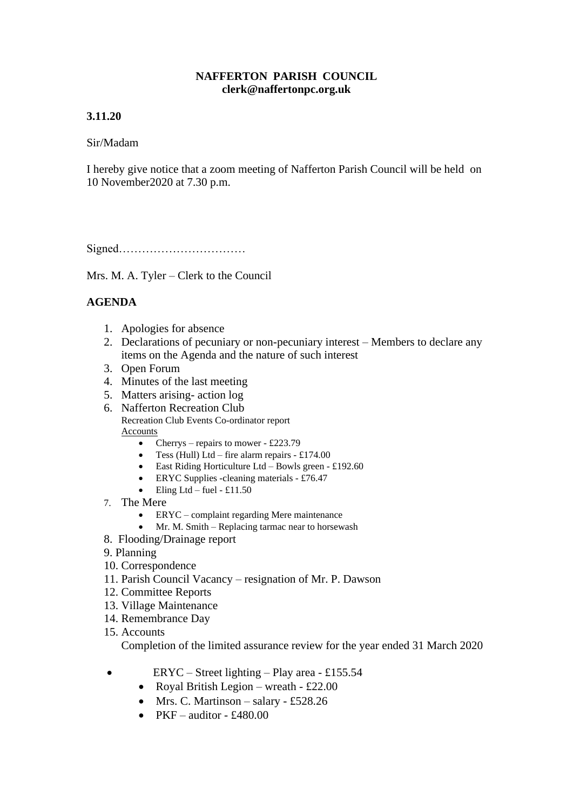### **NAFFERTON PARISH COUNCIL clerk@naffertonpc.org.uk**

## **3.11.20**

### Sir/Madam

I hereby give notice that a zoom meeting of Nafferton Parish Council will be held on 10 November2020 at 7.30 p.m.

Signed……………………………

Mrs. M. A. Tyler – Clerk to the Council

# **AGENDA**

- 1. Apologies for absence
- 2. Declarations of pecuniary or non-pecuniary interest Members to declare any items on the Agenda and the nature of such interest
- 3. Open Forum
- 4. Minutes of the last meeting
- 5. Matters arising- action log
- 6. Nafferton Recreation Club Recreation Club Events Co-ordinator report Accounts
	- Cherrys repairs to mower £223.79
	- Tess (Hull) Ltd fire alarm repairs  $£174.00$
	- East Riding Horticulture Ltd Bowls green £192.60
	- ERYC Supplies -cleaning materials £76.47
	- Eling Ltd fuel £11.50
- 7. The Mere
	- ERYC complaint regarding Mere maintenance
	- Mr. M. Smith Replacing tarmac near to horsewash
- 8. Flooding/Drainage report
- 9. Planning
- 10. Correspondence
- 11. Parish Council Vacancy resignation of Mr. P. Dawson
- 12. Committee Reports
- 13. Village Maintenance
- 14. Remembrance Day
- 15. Accounts

Completion of the limited assurance review for the year ended 31 March 2020

- ERYC Street lighting Play area £155.54
	- Royal British Legion wreath £22.00
	- Mrs. C. Martinson salary £528.26
	- PKF auditor £480.00